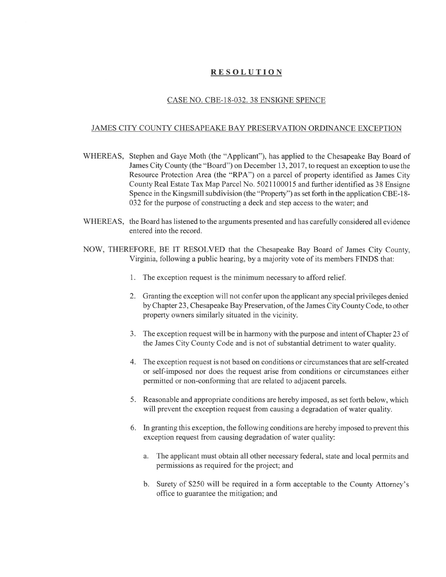## **RESOLUTION**

## CASE NO. CBE-18-032. 38 ENSIGNE SPENCE

## JAMES CITY COUNTY CHESAPEAKE BAY PRESERVATION ORDINANCE EXCEPTION

- WHEREAS, Stephen and Gaye Moth (the "Applicant"), has applied to the Chesapeake Bay Board of James City County (the "Board") on December 13, 2017, to request an exception to use the Resource Protection Area (the "RPA") on a parcel of property identified as James City County Real Estate Tax Map Parcel No. 5021100015 and further identified as 38 Ensigne Spence in the Kingsmill subdivision (the "Property") as set forth in the application CBE-18- 032 for the purpose of constructing a deck and step access to the water; and
- WHEREAS, the Board has listened to the arguments presented and has carefully considered all evidence entered into the record.
- NOW, THEREFORE, BE IT RESOLVED that the Chesapeake Bay Board of James City County, Virginia, following a public hearing, by a majority vote of its members FINDS that:
	- 1. The exception request is the minimum necessary to afford relief.
	- 2. Granting the exception will not confer upon the applicant any special privileges denied by Chapter 23, Chesapeake Bay Preservation, of the James City County Code, to other property owners similarly situated in the vicinity.
	- 3. The exception request will be in harmony with the purpose and intent of Chapter 23 of the James City County Code and is not of substantial detriment to water quality.
	- 4. The exception request is not based on conditions or circumstances that are self-created or self-imposed nor does the request arise from conditions or circumstances either permitted or non-confonning that are related to adjacent parcels.
	- 5. Reasonable and appropriate conditions are hereby imposed, as set forth below, which will prevent the exception request from causing a degradation of water quality.
	- 6. In granting this exception, the following conditions are hereby imposed to prevent this exception request from causing degradation of water quality:
		- a. The applicant must obtain all other necessary federal, state and local permits and permissions as required for the project; and
		- b. Surety of \$250 will be required in a form acceptable to the County Attorney's office to guarantee the mitigation; and